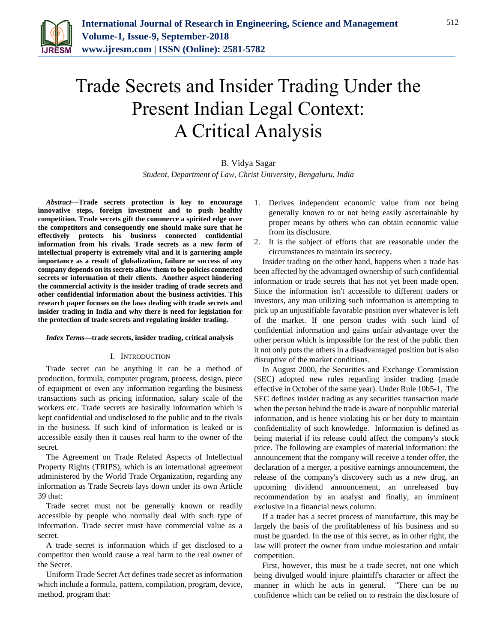

# Trade Secrets and Insider Trading Under the Present Indian Legal Context: A Critical Analysis

# B. Vidya Sagar

*Student, Department of Law, Christ University, Bengaluru, India*

*Abstract***—Trade secrets protection is key to encourage innovative steps, foreign investment and to push healthy competition. Trade secrets gift the commerce a spirited edge over the competitors and consequently one should make sure that he effectively protects his business connected confidential information from his rivals. Trade secrets as a new form of intellectual property is extremely vital and it is garnering ample importance as a result of globalization, failure or success of any company depends on its secrets allow them to be policies connected secrets or information of their clients. Another aspect hindering the commercial activity is the insider trading of trade secrets and other confidential information about the business activities. This research paper focuses on the laws dealing with trade secrets and insider trading in India and why there is need for legislation for the protection of trade secrets and regulating insider trading.**

#### *Index Terms***—trade secrets, insider trading, critical analysis**

#### I. INTRODUCTION

Trade secret can be anything it can be a method of production, formula, computer program, process, design, piece of equipment or even any information regarding the business transactions such as pricing information, salary scale of the workers etc. Trade secrets are basically information which is kept confidential and undisclosed to the public and to the rivals in the business. If such kind of information is leaked or is accessible easily then it causes real harm to the owner of the secret.

The Agreement on Trade Related Aspects of Intellectual Property Rights (TRIPS), which is an international agreement administered by the World Trade Organization, regarding any information as Trade Secrets lays down under its own Article 39 that:

Trade secret must not be generally known or readily accessible by people who normally deal with such type of information. Trade secret must have commercial value as a secret.

A trade secret is information which if get disclosed to a competitor then would cause a real harm to the real owner of the Secret.

Uniform Trade Secret Act defines trade secret as information which include a formula, pattern, compilation, program, device, method, program that:

- 1. Derives independent economic value from not being generally known to or not being easily ascertainable by proper means by others who can obtain economic value from its disclosure.
- 2. It is the subject of efforts that are reasonable under the circumstances to maintain its secrecy.

Insider trading on the other hand, happens when a trade has been affected by the advantaged ownership of such confidential information or trade secrets that has not yet been made open. Since the information isn't accessible to different traders or investors, any man utilizing such information is attempting to pick up an unjustifiable favorable position over whatever is left of the market. If one person trades with such kind of confidential information and gains unfair advantage over the other person which is impossible for the rest of the public then it not only puts the others in a disadvantaged position but is also disruptive of the market conditions.

In August 2000, the Securities and Exchange Commission (SEC) adopted new rules regarding insider trading (made effective in October of the same year). Under Rule 10b5-1, The SEC defines insider trading as any securities transaction made when the person behind the trade is aware of nonpublic material information, and is hence violating his or her duty to maintain confidentiality of such knowledge. Information is defined as being material if its release could affect the company's stock price. The following are examples of material information: the announcement that the company will receive a tender offer, the declaration of a merger, a positive earnings announcement, the release of the company's discovery such as a new drug, an upcoming dividend announcement, an unreleased buy recommendation by an analyst and finally, an imminent exclusive in a financial news column.

If a trader has a secret process of manufacture, this may be largely the basis of the profitableness of his business and so must be guarded. In the use of this secret, as in other right, the law will protect the owner from undue molestation and unfair competition.

First, however, this must be a trade secret, not one which being divulged would injure plaintiff's character or affect the manner in which he acts in general. "There can be no confidence which can be relied on to restrain the disclosure of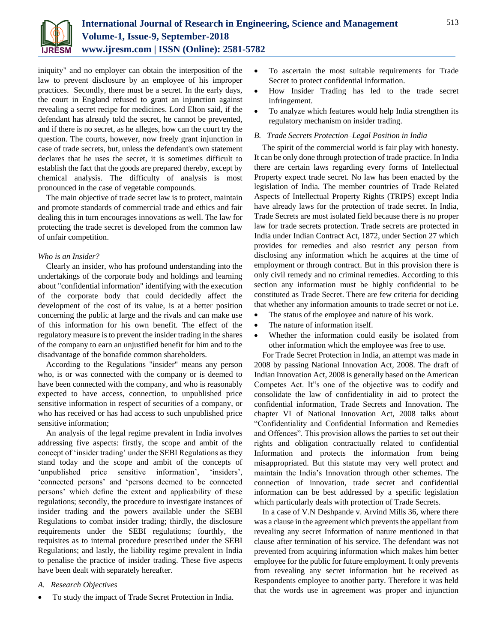

iniquity" and no employer can obtain the interposition of the law to prevent disclosure by an employee of his improper practices. Secondly, there must be a secret. In the early days, the court in England refused to grant an injunction against revealing a secret recipe for medicines. Lord Elton said, if the defendant has already told the secret, he cannot be prevented, and if there is no secret, as he alleges, how can the court try the question. The courts, however, now freely grant injunction in case of trade secrets, but, unless the defendant's own statement declares that he uses the secret, it is sometimes difficult to establish the fact that the goods are prepared thereby, except by chemical analysis. The difficulty of analysis is most pronounced in the case of vegetable compounds.

The main objective of trade secret law is to protect, maintain and promote standards of commercial trade and ethics and fair dealing this in turn encourages innovations as well. The law for protecting the trade secret is developed from the common law of unfair competition.

# *Who is an Insider?*

Clearly an insider, who has profound understanding into the undertakings of the corporate body and holdings and learning about "confidential information" identifying with the execution of the corporate body that could decidedly affect the development of the cost of its value, is at a better position concerning the public at large and the rivals and can make use of this information for his own benefit. The effect of the regulatory measure is to prevent the insider trading in the shares of the company to earn an unjustified benefit for him and to the disadvantage of the bonafide common shareholders.

According to the Regulations "insider" means any person who, is or was connected with the company or is deemed to have been connected with the company, and who is reasonably expected to have access, connection, to unpublished price sensitive information in respect of securities of a company, or who has received or has had access to such unpublished price sensitive information;

An analysis of the legal regime prevalent in India involves addressing five aspects: firstly, the scope and ambit of the concept of 'insider trading' under the SEBI Regulations as they stand today and the scope and ambit of the concepts of 'unpublished price sensitive information', 'insiders', 'connected persons' and 'persons deemed to be connected persons' which define the extent and applicability of these regulations; secondly, the procedure to investigate instances of insider trading and the powers available under the SEBI Regulations to combat insider trading; thirdly, the disclosure requirements under the SEBI regulations; fourthly, the requisites as to internal procedure prescribed under the SEBI Regulations; and lastly, the liability regime prevalent in India to penalise the practice of insider trading. These five aspects have been dealt with separately hereafter.

# *A. Research Objectives*

To study the impact of Trade Secret Protection in India.

- To ascertain the most suitable requirements for Trade Secret to protect confidential information.
- How Insider Trading has led to the trade secret infringement.
- To analyze which features would help India strengthen its regulatory mechanism on insider trading.

#### *B. Trade Secrets Protection–Legal Position in India*

The spirit of the commercial world is fair play with honesty. It can be only done through protection of trade practice. In India there are certain laws regarding every forms of Intellectual Property expect trade secret. No law has been enacted by the legislation of India. The member countries of Trade Related Aspects of Intellectual Property Rights (TRIPS) except India have already laws for the protection of trade secret. In India, Trade Secrets are most isolated field because there is no proper law for trade secrets protection. Trade secrets are protected in India under Indian Contract Act, 1872, under Section 27 which provides for remedies and also restrict any person from disclosing any information which he acquires at the time of employment or through contract. But in this provision there is only civil remedy and no criminal remedies. According to this section any information must be highly confidential to be constituted as Trade Secret. There are few criteria for deciding that whether any information amounts to trade secret or not i.e.

- The status of the employee and nature of his work.
- The nature of information itself.
- Whether the information could easily be isolated from other information which the employee was free to use.

For Trade Secret Protection in India, an attempt was made in 2008 by passing National Innovation Act, 2008. The draft of Indian Innovation Act, 2008 is generally based on the American Competes Act. It"s one of the objective was to codify and consolidate the law of confidentiality in aid to protect the confidential information, Trade Secrets and Innovation. The chapter VI of National Innovation Act, 2008 talks about "Confidentiality and Confidential Information and Remedies and Offences". This provision allows the parties to set out their rights and obligation contractually related to confidential Information and protects the information from being misappropriated. But this statute may very well protect and maintain the India's Innovation through other schemes. The connection of innovation, trade secret and confidential information can be best addressed by a specific legislation which particularly deals with protection of Trade Secrets.

In a case of V.N Deshpande v. Arvind Mills 36, where there was a clause in the agreement which prevents the appellant from revealing any secret Information of nature mentioned in that clause after termination of his service. The defendant was not prevented from acquiring information which makes him better employee for the public for future employment. It only prevents from revealing any secret information but he received as Respondents employee to another party. Therefore it was held that the words use in agreement was proper and injunction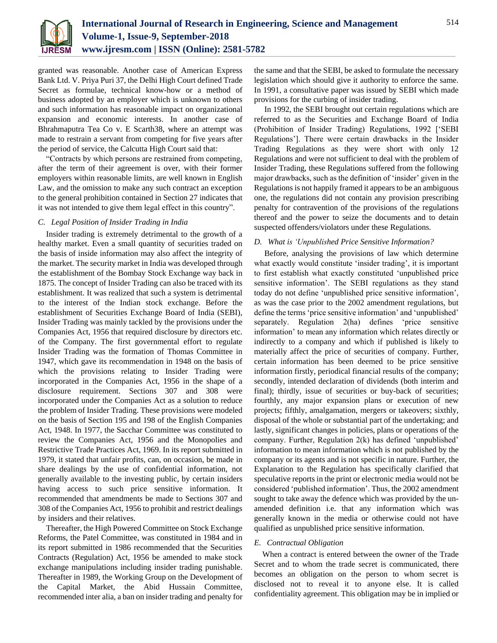

granted was reasonable. Another case of American Express Bank Ltd. V. Priya Puri 37, the Delhi High Court defined Trade Secret as formulae, technical know-how or a method of business adopted by an employer which is unknown to others and such information has reasonable impact on organizational expansion and economic interests. In another case of Bhrahmaputra Tea Co v. E Scarth38, where an attempt was made to restrain a servant from competing for five years after the period of service, the Calcutta High Court said that:

"Contracts by which persons are restrained from competing, after the term of their agreement is over, with their former employers within reasonable limits, are well known in English Law, and the omission to make any such contract an exception to the general prohibition contained in Section 27 indicates that it was not intended to give them legal effect in this country".

# *C. Legal Position of Insider Trading in India*

Insider trading is extremely detrimental to the growth of a healthy market. Even a small quantity of securities traded on the basis of inside information may also affect the integrity of the market. The security market in India was developed through the establishment of the Bombay Stock Exchange way back in 1875. The concept of Insider Trading can also be traced with its establishment. It was realized that such a system is detrimental to the interest of the Indian stock exchange. Before the establishment of Securities Exchange Board of India (SEBI), Insider Trading was mainly tackled by the provisions under the Companies Act, 1956 that required disclosure by directors etc. of the Company. The first governmental effort to regulate Insider Trading was the formation of Thomas Committee in 1947, which gave its recommendation in 1948 on the basis of which the provisions relating to Insider Trading were incorporated in the Companies Act, 1956 in the shape of a disclosure requirement. Sections 307 and 308 were incorporated under the Companies Act as a solution to reduce the problem of Insider Trading. These provisions were modeled on the basis of Section 195 and 198 of the English Companies Act, 1948. In 1977, the Sacchar Committee was constituted to review the Companies Act, 1956 and the Monopolies and Restrictive Trade Practices Act, 1969. In its report submitted in 1979, it stated that unfair profits, can, on occasion, be made in share dealings by the use of confidential information, not generally available to the investing public, by certain insiders having access to such price sensitive information. It recommended that amendments be made to Sections 307 and 308 of the Companies Act, 1956 to prohibit and restrict dealings by insiders and their relatives.

Thereafter, the High Powered Committee on Stock Exchange Reforms, the Patel Committee, was constituted in 1984 and in its report submitted in 1986 recommended that the Securities Contracts (Regulation) Act, 1956 be amended to make stock exchange manipulations including insider trading punishable. Thereafter in 1989, the Working Group on the Development of the Capital Market, the Abid Hussain Committee, recommended inter alia, a ban on insider trading and penalty for the same and that the SEBI, be asked to formulate the necessary legislation which should give it authority to enforce the same. In 1991, a consultative paper was issued by SEBI which made provisions for the curbing of insider trading.

In 1992, the SEBI brought out certain regulations which are referred to as the Securities and Exchange Board of India (Prohibition of Insider Trading) Regulations, 1992 ['SEBI Regulations']. There were certain drawbacks in the Insider Trading Regulations as they were short with only 12 Regulations and were not sufficient to deal with the problem of Insider Trading, these Regulations suffered from the following major drawbacks, such as the definition of 'insider' given in the Regulations is not happily framed it appears to be an ambiguous one, the regulations did not contain any provision prescribing penalty for contravention of the provisions of the regulations thereof and the power to seize the documents and to detain suspected offenders/violators under these Regulations.

# *D. What is 'Unpublished Price Sensitive Information?*

Before, analysing the provisions of law which determine what exactly would constitute 'insider trading', it is important to first establish what exactly constituted 'unpublished price sensitive information'. The SEBI regulations as they stand today do not define 'unpublished price sensitive information', as was the case prior to the 2002 amendment regulations, but define the terms 'price sensitive information' and 'unpublished' separately. Regulation 2(ha) defines 'price sensitive information' to mean any information which relates directly or indirectly to a company and which if published is likely to materially affect the price of securities of company. Further, certain information has been deemed to be price sensitive information firstly, periodical financial results of the company; secondly, intended declaration of dividends (both interim and final); thirdly, issue of securities or buy-back of securities; fourthly, any major expansion plans or execution of new projects; fifthly, amalgamation, mergers or takeovers; sixthly, disposal of the whole or substantial part of the undertaking; and lastly, significant changes in policies, plans or operations of the company. Further, Regulation 2(k) has defined 'unpublished' information to mean information which is not published by the company or its agents and is not specific in nature. Further, the Explanation to the Regulation has specifically clarified that speculative reports in the print or electronic media would not be considered 'published information'. Thus, the 2002 amendment sought to take away the defence which was provided by the unamended definition i.e. that any information which was generally known in the media or otherwise could not have qualified as unpublished price sensitive information.

# *E. Contractual Obligation*

When a contract is entered between the owner of the Trade Secret and to whom the trade secret is communicated, there becomes an obligation on the person to whom secret is disclosed not to reveal it to anyone else. It is called confidentiality agreement. This obligation may be in implied or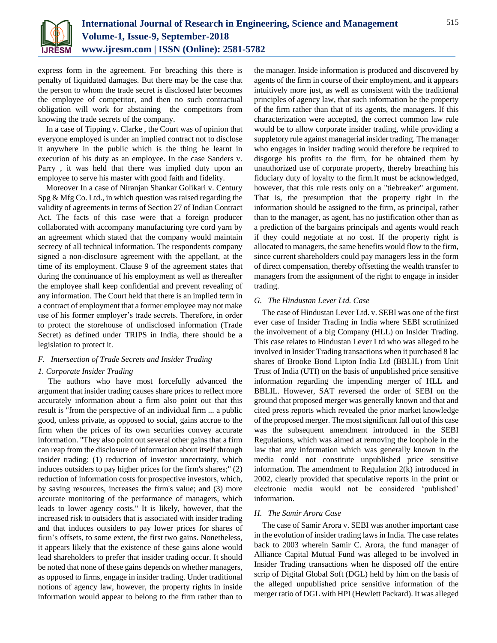

express form in the agreement. For breaching this there is penalty of liquidated damages. But there may be the case that the person to whom the trade secret is disclosed later becomes the employee of competitor, and then no such contractual obligation will work for abstaining the competitors from knowing the trade secrets of the company.

In a case of Tipping v. Clarke , the Court was of opinion that everyone employed is under an implied contract not to disclose it anywhere in the public which is the thing he learnt in execution of his duty as an employee. In the case Sanders v. Parry , it was held that there was implied duty upon an employee to serve his master with good faith and fidelity.

Moreover In a case of Niranjan Shankar Golikari v. Century Spg & Mfg Co. Ltd., in which question was raised regarding the validity of agreements in terms of Section 27 of Indian Contract Act. The facts of this case were that a foreign producer collaborated with accompany manufacturing tyre cord yarn by an agreement which stated that the company would maintain secrecy of all technical information. The respondents company signed a non-disclosure agreement with the appellant, at the time of its employment. Clause 9 of the agreement states that during the continuance of his employment as well as thereafter the employee shall keep confidential and prevent revealing of any information. The Court held that there is an implied term in a contract of employment that a former employee may not make use of his former employer's trade secrets. Therefore, in order to protect the storehouse of undisclosed information (Trade Secret) as defined under TRIPS in India, there should be a legislation to protect it.

# *F. Intersection of Trade Secrets and Insider Trading*

# *1. Corporate Insider Trading*

The authors who have most forcefully advanced the argument that insider trading causes share prices to reflect more accurately information about a firm also point out that this result is "from the perspective of an individual firm ... a public good, unless private, as opposed to social, gains accrue to the firm when the prices of its own securities convey accurate information. "They also point out several other gains that a firm can reap from the disclosure of information about itself through insider trading: (1) reduction of investor uncertainty, which induces outsiders to pay higher prices for the firm's shares;" (2) reduction of information costs for prospective investors, which, by saving resources, increases the firm's value; and (3) more accurate monitoring of the performance of managers, which leads to lower agency costs." It is likely, however, that the increased risk to outsiders that is associated with insider trading and that induces outsiders to pay lower prices for shares of firm's offsets, to some extent, the first two gains. Nonetheless, it appears likely that the existence of these gains alone would lead shareholders to prefer that insider trading occur. It should be noted that none of these gains depends on whether managers, as opposed to firms, engage in insider trading. Under traditional notions of agency law, however, the property rights in inside information would appear to belong to the firm rather than to

the manager. Inside information is produced and discovered by agents of the firm in course of their employment, and it appears intuitively more just, as well as consistent with the traditional principles of agency law, that such information be the property of the firm rather than that of its agents, the managers. If this characterization were accepted, the correct common law rule would be to allow corporate insider trading, while providing a suppletory rule against managerial insider trading. The manager who engages in insider trading would therefore be required to disgorge his profits to the firm, for he obtained them by unauthorized use of corporate property, thereby breaching his fiduciary duty of loyalty to the firm.It must be acknowledged, however, that this rule rests only on a "tiebreaker" argument. That is, the presumption that the property right in the information should be assigned to the firm, as principal, rather than to the manager, as agent, has no justification other than as a prediction of the bargains principals and agents would reach if they could negotiate at no cost. If the property right is allocated to managers, the same benefits would flow to the firm, since current shareholders could pay managers less in the form of direct compensation, thereby offsetting the wealth transfer to managers from the assignment of the right to engage in insider trading.

#### *G. The Hindustan Lever Ltd. Case*

The case of Hindustan Lever Ltd. v. SEBI was one of the first ever case of Insider Trading in India where SEBI scrutinized the involvement of a big Company (HLL) on Insider Trading. This case relates to Hindustan Lever Ltd who was alleged to be involved in Insider Trading transactions when it purchased 8 lac shares of Brooke Bond Lipton India Ltd (BBLIL) from Unit Trust of India (UTI) on the basis of unpublished price sensitive information regarding the impending merger of HLL and BBLIL. However, SAT reversed the order of SEBI on the ground that proposed merger was generally known and that and cited press reports which revealed the prior market knowledge of the proposed merger. The most significant fall out of this case was the subsequent amendment introduced in the SEBI Regulations, which was aimed at removing the loophole in the law that any information which was generally known in the media could not constitute unpublished price sensitive information. The amendment to Regulation 2(k) introduced in 2002, clearly provided that speculative reports in the print or electronic media would not be considered 'published' information.

#### *H. The Samir Arora Case*

The case of Samir Arora v. SEBI was another important case in the evolution of insider trading laws in India. The case relates back to 2003 wherein Samir C. Arora, the fund manager of Alliance Capital Mutual Fund was alleged to be involved in Insider Trading transactions when he disposed off the entire scrip of Digital Global Soft (DGL) held by him on the basis of the alleged unpublished price sensitive information of the merger ratio of DGL with HPI (Hewlett Packard). It was alleged